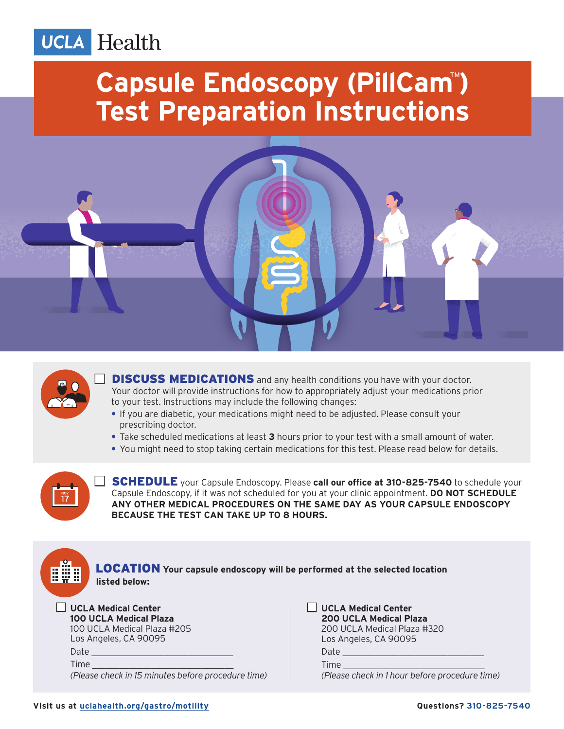#### Health **UCLA**

# **Capsule Endoscopy (PillCam<sup>™</sup>) Test Preparation Instructions**





**DISCUSS MEDICATIONS** and any health conditions you have with your doctor. Your doctor will provide instructions for how to appropriately adjust your medications prior to your test. Instructions may include the following changes:

- **•** If you are diabetic, your medications might need to be adjusted. Please consult your prescribing doctor.
- **•** Take scheduled medications at least **3** hours prior to your test with a small amount of water.
- **•** You might need to stop taking certain medications for this test. Please read below for details.



**SCHEDULE** your Capsule Endoscopy. Please call our office at 310-825-7540 to schedule your Capsule Endoscopy, if it was not scheduled for you at your clinic appointment. **DO NOT SCHEDULE ANY OTHER MEDICAL PROCEDURES ON THE SAME DAY AS YOUR CAPSULE ENDOSCOPY BECAUSE THE TEST CAN TAKE UP TO 8 HOURS.**



 LOCATION **Your capsule endoscopy will be performed at the selected location listed below:**

#### □ UCLA Medical Center

 **100 UCLA Medical Plaza** 100 UCLA Medical Plaza #205 Los Angeles, CA 90095 Date  $\_$ Time *(Please check in 15 minutes before procedure time)*   $\Box$  UCLA Medical Center  **200 UCLA Medical Plaza** 200 UCLA Medical Plaza #320 Los Angeles, CA 90095

Date  $\_$ Time

*(Please check in 1 hour before procedure time)*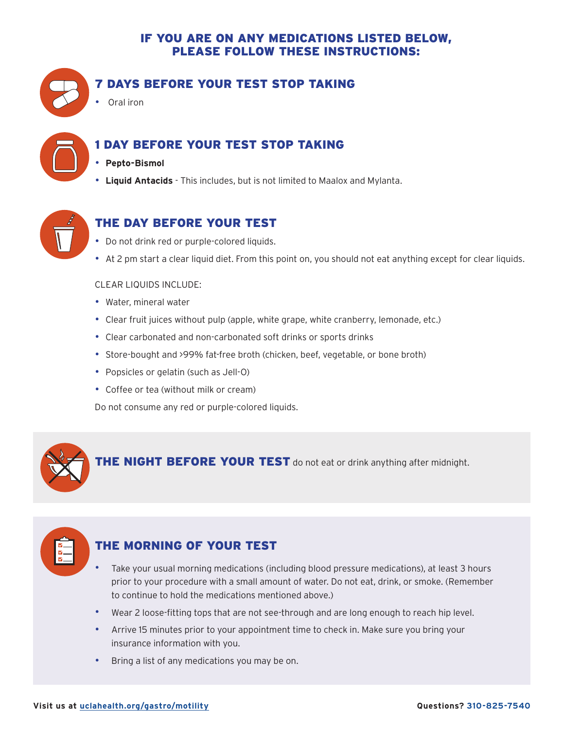#### IF YOU ARE ON ANY MEDICATIONS LISTED BELOW, PLEASE FOLLOW THESE INSTRUCTIONS:



#### 7 DAYS BEFORE YOUR TEST STOP TAKING

• Oral iron



#### 1 DAY BEFORE YOUR TEST STOP TAKING

- **Pepto-Bismol**
- **Liquid Antacids** This includes, but is not limited to Maalox and Mylanta.



## THE DAY BEFORE YOUR TEST

- Do not drink red or purple-colored liquids.
- At 2 pm start a clear liquid diet. From this point on, you should not eat anything except for clear liquids.

#### CLEAR LIQUIDS INCLUDE:

- Water, mineral water
- Clear fruit juices without pulp (apple, white grape, white cranberry, lemonade, etc.)
- Clear carbonated and non-carbonated soft drinks or sports drinks
- Store-bought and >99% fat-free broth (chicken, beef, vegetable, or bone broth)
- Popsicles or gelatin (such as Jell-O)
- Coffee or tea (without milk or cream)

Do not consume any red or purple-colored liquids.



| M. |  |
|----|--|
| M  |  |
|    |  |
|    |  |

## THE MORNING OF YOUR TEST

- Take your usual morning medications (including blood pressure medications), at least 3 hours prior to your procedure with a small amount of water. Do not eat, drink, or smoke. (Remember to continue to hold the medications mentioned above.)
- Wear 2 loose-fitting tops that are not see-through and are long enough to reach hip level.
- Arrive 15 minutes prior to your appointment time to check in. Make sure you bring your insurance information with you.
- Bring a list of any medications you may be on.